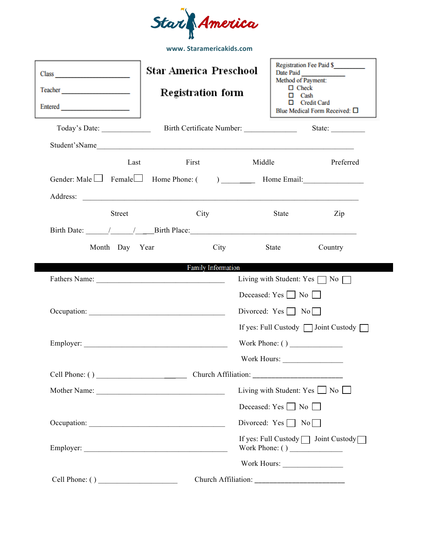

| Class Contract Class<br>Teacher <b>Experience CONSUMER</b><br>Entered |      | <b>Star America Preschool</b><br><b>Registration form</b> |                                           | Date Paid<br>Method of Payment:<br>$\Box$ Check | <b>Registration Fee Paid \$</b><br>Cash<br><b>Credit Card</b><br>Blue Medical Form Received: □ |  |
|-----------------------------------------------------------------------|------|-----------------------------------------------------------|-------------------------------------------|-------------------------------------------------|------------------------------------------------------------------------------------------------|--|
|                                                                       |      |                                                           |                                           |                                                 |                                                                                                |  |
| Student'sName                                                         |      |                                                           |                                           |                                                 |                                                                                                |  |
|                                                                       | Last | First                                                     | Middle                                    |                                                 | Preferred                                                                                      |  |
|                                                                       |      |                                                           |                                           |                                                 |                                                                                                |  |
|                                                                       |      |                                                           |                                           |                                                 |                                                                                                |  |
| <b>Street</b>                                                         |      | City                                                      |                                           | State                                           | Zip                                                                                            |  |
|                                                                       |      |                                                           |                                           |                                                 |                                                                                                |  |
| Month Day Year                                                        |      |                                                           | City                                      | State                                           | Country                                                                                        |  |
|                                                                       |      | <b>Family Information</b>                                 |                                           |                                                 |                                                                                                |  |
|                                                                       |      |                                                           |                                           |                                                 | Living with Student: Yes $\Box$ No $\Box$                                                      |  |
|                                                                       |      |                                                           |                                           | Deceased: $Yes \Box No \Box$                    |                                                                                                |  |
|                                                                       |      |                                                           |                                           | Divorced: $Yes \Box No \Box$                    |                                                                                                |  |
|                                                                       |      |                                                           |                                           |                                                 | If yes: Full Custody $\Box$ Joint Custody $\Box$                                               |  |
|                                                                       |      |                                                           |                                           | Work Phone: ( )                                 |                                                                                                |  |
|                                                                       |      |                                                           |                                           |                                                 |                                                                                                |  |
|                                                                       |      |                                                           |                                           |                                                 |                                                                                                |  |
|                                                                       |      |                                                           | Living with Student: Yes $\Box$ No $\Box$ |                                                 |                                                                                                |  |
|                                                                       |      |                                                           |                                           | Deceased: $Yes \Box No \Box$                    |                                                                                                |  |
|                                                                       |      |                                                           |                                           | Divorced: $Yes \Box No \Box$                    |                                                                                                |  |
|                                                                       |      |                                                           |                                           |                                                 | If yes: Full Custody   Joint Custody                                                           |  |
|                                                                       |      |                                                           |                                           |                                                 |                                                                                                |  |
|                                                                       |      |                                                           |                                           |                                                 |                                                                                                |  |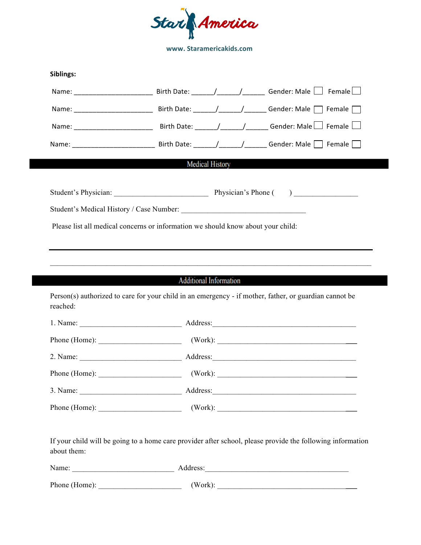

| Siblings:                                                                        |                                                     |  |  |                                                                                                                                                                                                                                      |  |  |  |  |
|----------------------------------------------------------------------------------|-----------------------------------------------------|--|--|--------------------------------------------------------------------------------------------------------------------------------------------------------------------------------------------------------------------------------------|--|--|--|--|
|                                                                                  |                                                     |  |  |                                                                                                                                                                                                                                      |  |  |  |  |
|                                                                                  |                                                     |  |  |                                                                                                                                                                                                                                      |  |  |  |  |
|                                                                                  |                                                     |  |  |                                                                                                                                                                                                                                      |  |  |  |  |
|                                                                                  |                                                     |  |  |                                                                                                                                                                                                                                      |  |  |  |  |
|                                                                                  | <b>Medical History</b>                              |  |  |                                                                                                                                                                                                                                      |  |  |  |  |
|                                                                                  |                                                     |  |  |                                                                                                                                                                                                                                      |  |  |  |  |
|                                                                                  | Student's Physician: Physician Physician's Phone () |  |  |                                                                                                                                                                                                                                      |  |  |  |  |
|                                                                                  |                                                     |  |  |                                                                                                                                                                                                                                      |  |  |  |  |
| Please list all medical concerns or information we should know about your child: |                                                     |  |  |                                                                                                                                                                                                                                      |  |  |  |  |
|                                                                                  |                                                     |  |  |                                                                                                                                                                                                                                      |  |  |  |  |
|                                                                                  |                                                     |  |  |                                                                                                                                                                                                                                      |  |  |  |  |
|                                                                                  |                                                     |  |  |                                                                                                                                                                                                                                      |  |  |  |  |
|                                                                                  |                                                     |  |  |                                                                                                                                                                                                                                      |  |  |  |  |
|                                                                                  |                                                     |  |  | ,我们也不会有什么。""我们的人,我们也不会有什么?""我们的人,我们也不会有什么?""我们的人,我们也不会有什么?""我们的人,我们也不会有什么?""我们的人                                                                                                                                                     |  |  |  |  |
|                                                                                  | <b>Additional Information</b>                       |  |  |                                                                                                                                                                                                                                      |  |  |  |  |
| reached:                                                                         |                                                     |  |  | Person(s) authorized to care for your child in an emergency - if mother, father, or guardian cannot be                                                                                                                               |  |  |  |  |
|                                                                                  |                                                     |  |  |                                                                                                                                                                                                                                      |  |  |  |  |
|                                                                                  |                                                     |  |  |                                                                                                                                                                                                                                      |  |  |  |  |
|                                                                                  |                                                     |  |  |                                                                                                                                                                                                                                      |  |  |  |  |
|                                                                                  |                                                     |  |  |                                                                                                                                                                                                                                      |  |  |  |  |
| 3. Name:                                                                         |                                                     |  |  | Address: <u>and the same of the same of the same of the same of the same of the same of the same of the same of the same of the same of the same of the same of the same of the same of the same of the same of the same of the </u> |  |  |  |  |
|                                                                                  |                                                     |  |  |                                                                                                                                                                                                                                      |  |  |  |  |

If your child will be going to a home care provider after school, please provide the following information about them:

| Name:         | Address: |
|---------------|----------|
| Phone (Home): | (Work):  |